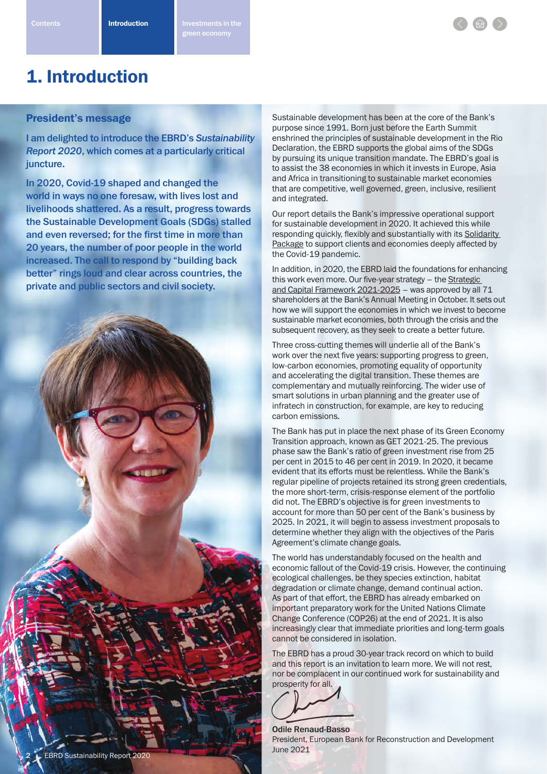

## President's message

I am delighted to introduce the EBRD's *Sustainability Report 2020*, which comes at a particularly critical juncture.

In 2020, Covid-19 shaped and changed the world in ways no one foresaw, with lives lost and livelihoods shattered. As a result, progress towards the Sustainable Development Goals (SDGs) stalled and even reversed; for the first time in more than 20 years, the number of poor people in the world increased. The call to respond by "building back better" rings loud and clear across countries, the private and public sectors and civil society.



Sustainable development has been at the core of the Bank's purpose since 1991. Born just before the Earth Summit enshrined the principles of sustainable development in the Rio Declaration, the EBRD supports the global aims of the SDGs by pursuing its unique transition mandate. The EBRD's goal is to assist the 38 economies in which it invests in Europe, Asia and Africa in transitioning to sustainable market economies that are competitive, well governed, green, inclusive, resilient and integrated.

Our report details the Bank's impressive operational support for sustainable development in 2020. It achieved this while responding quickly, flexibly and substantially with its Solidarity Package to support clients and economies deeply affected by the Covid-19 pandemic.

In addition, in 2020, the EBRD laid the foundations for enhancing this work even more. Our five-year strategy - the Strategic and Capital Framework 2021-2025 – was approved by all 71 shareholders at the Bank's Annual Meeting in October. It sets out how we will support the economies in which we invest to become sustainable market economies, both through the crisis and the subsequent recovery, as they seek to create a better future.

Three cross-cutting themes will underlie all of the Bank's work over the next five years: supporting progress to green, low-carbon economies, promoting equality of opportunity and accelerating the digital transition. These themes are complementary and mutually reinforcing. The wider use of smart solutions in urban planning and the greater use of infratech in construction, for example, are key to reducing carbon emissions.

The Bank has put in place the next phase of its Green Economy Transition approach, known as GET 2021-25. The previous phase saw the Bank's ratio of green investment rise from 25 per cent in 2015 to 46 per cent in 2019. In 2020, it became evident that its efforts must be relentless. While the Bank's regular pipeline of projects retained its strong green credentials, the more short-term, crisis-response element of the portfolio did not. The EBRD's objective is for green investments to account for more than 50 per cent of the Bank's business by 2025. In 2021, it will begin to assess investment proposals to determine whether they align with the objectives of the Paris Agreement's climate change goals.

The world has understandably focused on the health and economic fallout of the Covid-19 crisis. However, the continuing ecological challenges, be they species extinction, habitat degradation or climate change, demand continual action. As part of that effort, the EBRD has already embarked on important preparatory work for the United Nations Climate Change Conference (COP26) at the end of 2021. It is also increasingly clear that immediate priorities and long-term goals cannot be considered in isolation.

The EBRD has a proud 30-year track record on which to build and this report is an invitation to learn more. We will not rest, nor be complacent in our continued work for sustainability and prosperity for all.



Odile Renaud-Basso President, European Bank for Reconstruction and Development June 2021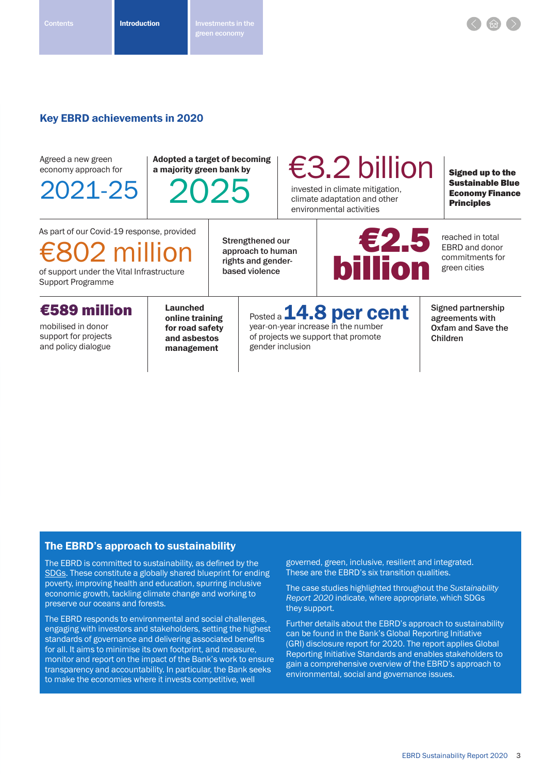## Key EBRD achievements in 2020

| Agreed a new green<br>economy approach for<br>2021-25                                                                          | <b>Adopted a target of becoming</b><br>a majority green bank by<br>2025             |  |                                                                                                                          | $\epsilon$ 3.2 billion<br>invested in climate mitigation,<br>climate adaptation and other<br>environmental activities |                        |                                                                         | <b>Signed up to the</b><br><b>Sustainable Blue</b><br><b>Economy Finance</b><br><b>Principles</b> |
|--------------------------------------------------------------------------------------------------------------------------------|-------------------------------------------------------------------------------------|--|--------------------------------------------------------------------------------------------------------------------------|-----------------------------------------------------------------------------------------------------------------------|------------------------|-------------------------------------------------------------------------|---------------------------------------------------------------------------------------------------|
| As part of our Covid-19 response, provided<br>$€802$ million<br>of support under the Vital Infrastructure<br>Support Programme |                                                                                     |  | Strengthened our<br>approach to human<br>rights and gender-<br>based violence                                            |                                                                                                                       | E2.5<br><b>billion</b> |                                                                         | reached in total<br><b>EBRD</b> and donor<br>commitments for<br>green cities                      |
| €589 million<br>mobilised in donor<br>support for projects<br>and policy dialogue                                              | <b>Launched</b><br>online training<br>for road safety<br>and asbestos<br>management |  | Posted a 14.8 per cent<br>year-on-year increase in the number<br>of projects we support that promote<br>gender inclusion |                                                                                                                       |                        | Signed partnership<br>agreements with<br>Oxfam and Save the<br>Children |                                                                                                   |

## The EBRD's approach to sustainability

The EBRD is committed to sustainability, as defined by the SDGs. These constitute a globally shared blueprint for ending poverty, improving health and education, spurring inclusive economic growth, tackling climate change and working to preserve our oceans and forests.

The EBRD responds to environmental and social challenges, engaging with investors and stakeholders, setting the highest standards of governance and delivering associated benefits for all. It aims to minimise its own footprint, and measure, monitor and report on the impact of the Bank's work to ensure transparency and accountability. In particular, the Bank seeks to make the economies where it invests competitive, well

governed, green, inclusive, resilient and integrated. These are the EBRD's six transition qualities.

The case studies highlighted throughout the *Sustainability Report 2020* indicate, where appropriate, which SDGs they support.

Further details about the EBRD's approach to sustainability can be found in the Bank's Global Reporting Initiative (GRI) disclosure report for 2020. The report applies Global Reporting Initiative Standards and enables stakeholders to gain a comprehensive overview of the EBRD's approach to environmental, social and governance issues.